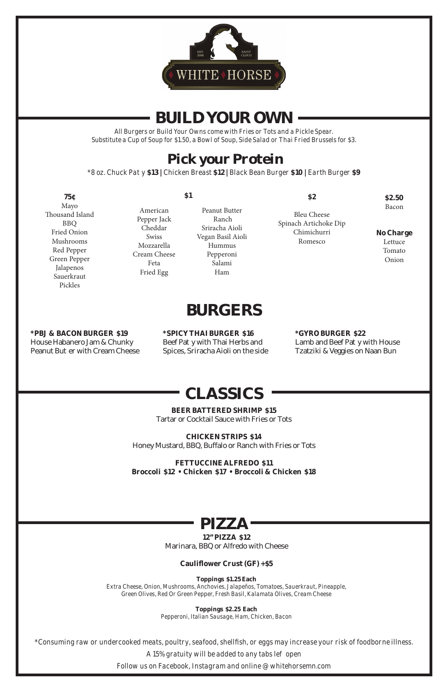# **CLASSICS**

#### **BEER BATTERED SHRIMP \$15**

Tartar or Cocktail Sauce with Fries or Tots

### **CHICKEN STRIPS \$14**

Honey Mustard, BBQ, Bu alo or Ranch with Fries or Tots

**FETTUCCINE ALFREDO \$11 Broccoli \$12 • Chicken \$17 • Broccoli & Chicken \$18**

*\*Consuming raw or undercooked meats, poultry, seafood, shellfish, or eggs may increase your risk of foodborne illness. A 15% gratuity will be added to any tabs left open Follow us on Facebook, Instagram and online @ whitehorsemn.com*

**\*PBJ & BACON BURGER \$19** House Habanero Jam & Chunky Peanut Bu er with Cream Cheese

# **12" PIZZA \$12**

Marinara, BBQ or Alfredo with Cheese

### **Cauliflower Crust (GF) +\$5**

Lamb and Beef Pa y with House Tzatziki & Veggies on Naan Bun

#### **Toppings \$1.25 Each**

*Extra Cheese, Onion, Mushrooms, Anchovies, Jalapeños, Tomatoes, Sauerkraut, Pineapple, Green Olives, Red Or Green Pepper, Fresh Basil, Kalamata Olives, Cream Cheese*

> **Toppings \$2.25 Each** *Pepperoni, Italian Sausage, Ham, Chicken, Bacon*



# **BURGERS**

**\*SPICY THAI BURGER \$16** Beef Pa y with Thai Herbs and Spices, Sriracha Aioli on the side

## **\*GYRO BURGER \$22**



# **BUILD YOUR OWN**

*All Burgers or Build Your Owns come with Fries or Tots and a Pickle Spear. Substitute a Cup of Soup for \$1.50, a Bowl of Soup, Side Salad or Thai Fried Brussels for \$3.*

# **Pick your Protein**

*\*8 oz. Chuck Patty* **\$13 |** *Chicken Breast* **\$12 |** *Black Bean Burger* **\$10 |** *Earth Burger* **\$9**

| <b>75c</b>                                                                                                                                                 | \$1                                                                                                   |                                                                                                       | \$2                                                                   | \$2.50                                                  |
|------------------------------------------------------------------------------------------------------------------------------------------------------------|-------------------------------------------------------------------------------------------------------|-------------------------------------------------------------------------------------------------------|-----------------------------------------------------------------------|---------------------------------------------------------|
| Mayo<br>Thousand Island<br><b>BBQ</b><br><b>Fried Onion</b><br><b>Mushrooms</b><br>Red Pepper<br>Green Pepper<br>Jalapenos<br>Sauerkraut<br><b>Pickles</b> | American<br>Pepper Jack<br>Cheddar<br><b>Swiss</b><br>Mozzarella<br>Cream Cheese<br>Feta<br>Fried Egg | Peanut Butter<br>Ranch<br>Sriracha Aioli<br>Vegan Basil Aioli<br>Hummus<br>Pepperoni<br>Salami<br>Ham | <b>Bleu Cheese</b><br>Spinach Artichoke Dip<br>Chimichurri<br>Romesco | Bacon<br><b>No Charge</b><br>Lettuce<br>Tomato<br>Onion |